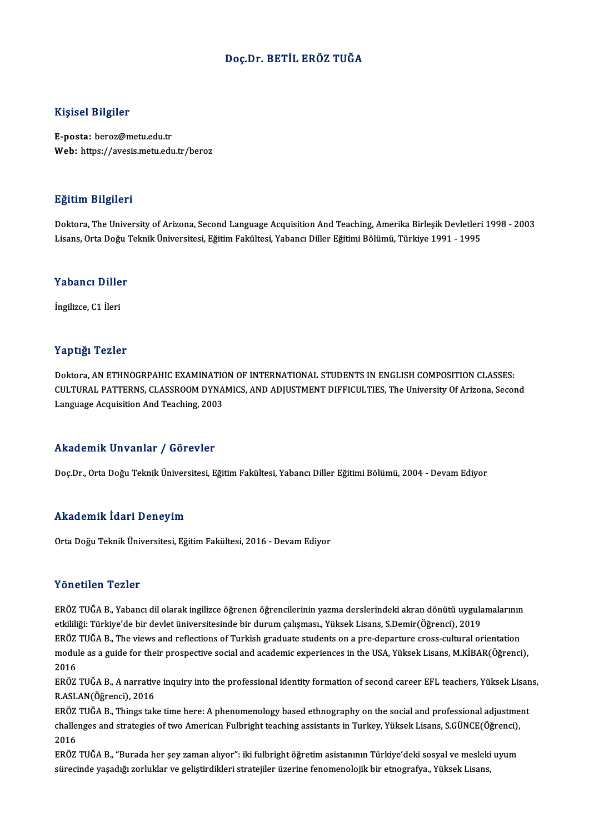#### Doç.Dr. BETİL ERÖZ TUĞA

#### Kişisel Bilgiler

E-posta: beroz@metu.edu.tr Web: https://avesis.metu.edu.tr/beroz

#### Eğitim Bilgileri

<mark>Eğitim Bilgileri</mark><br>Doktora, The University of Arizona, Second Language Acquisition And Teaching, Amerika Birleşik Devletleri 1998 - 2003<br>Lisans Orta Değu Teknik Üniversitesi, Fğitim Fakültesi, Yahancı Diller Fğitimi Bölümü Listans, Dargareaa<br>Doktora, The University of Arizona, Second Language Acquisition And Teaching, Amerika Birleşik Devletleri<br>Lisans, Orta Doğu Teknik Üniversitesi, Eğitim Fakültesi, Yabancı Diller Eğitimi Bölümü, Türkiye 1

## Lisans, orta bogu<br>Yabancı Diller Y<mark>abancı Dille</mark><br>İngilizce, C1 İleri

# İngilizce, C1 İleri<br>Yaptığı Tezler

Doktora, AN ETHNOGRPAHIC EXAMINATION OF INTERNATIONAL STUDENTS IN ENGLISH COMPOSITION CLASSES: CULTURAL PATTERNS, CLASSROOM DYNAMICS, AND ADJUSTMENT DIFFICULTIES, The University Of Arizona, Second Language Acquisition And Teaching, 2003

#### Akademik Unvanlar / Görevler

Doç.Dr., Orta Doğu Teknik Üniversitesi, Eğitim Fakültesi, Yabancı Diller Eğitimi Bölümü, 2004 - Devam Ediyor

#### Akademik İdari Deneyim

Orta Doğu Teknik Üniversitesi, Eğitim Fakültesi, 2016 - Devam Ediyor

#### Yönetilen Tezler

Yönetilen Tezler<br>ERÖZ TUĞA B., Yabancı dil olarak ingilizce öğrenen öğrencilerinin yazma derslerindeki akran dönütü uygulamalarının<br>Strililiği: Türkiye'de bir devlet üniversitesinde bir durum selemesu. Yüksek Lisans, S.Dem etkililiği: Türkiye'de bir devletiliği:<br>ERÖZ TUĞA B., Yabancı dil olarak ingilizce öğrenen öğrencilerinin yazma derslerindeki akran dönütü uygula<br>ERÖZ TUĞA B., The views and reflections of Turkish sraduate students on a nr ERÖZ TUĞA B., Yabancı dil olarak ingilizce öğrenen öğrencilerinin yazma derslerindeki akran dönütü uygulamalarının<br>etkililiği: Türkiye'de bir devlet üniversitesinde bir durum çalışması., Yüksek Lisans, S.Demir(Öğrenci), 20 etkililiği: Türkiye'de bir devlet üniversitesinde bir durum çalışması., Yüksek Lisans, S.Demir(Öğrenci), 2019<br>ERÖZ TUĞA B., The views and reflections of Turkish graduate students on a pre-departure cross-cultural orientati ERÖZ TUĞA B., The views and reflections of Turkish graduate students on a pre-departure cross-cultural orientation module as a guide for their prospective social and academic experiences in the USA, Yüksek Lisans, M.KİBAR(Öğrenci),<br>2016<br>ERÖZ TUĞA B., A narrative inquiry into the professional identity formation of second career EFL teac

2016<br>ERÖZ TUĞA B., A narrativ<br>R.ASLAN(Öğrenci), 2016<br>ERÖZ TUĞA B., Things tak ERÖZ TUĞA B., A narrative inquiry into the professional identity formation of second career EFL teachers, Yüksek Lisan<br>R.ASLAN(Öğrenci), 2016<br>ERÖZ TUĞA B., Things take time here: A phenomenology based ethnography on the so

R.ASLAN(Öğrenci), 2016<br>ERÖZ TUĞA B., Things take time here: A phenomenology based ethnography on the social and professional adjustme<br>challenges and strategies of two American Fulbright teaching assistants in Turkey, Yükse ERÖZ<br>challe:<br>2016<br>EPÖZ challenges and strategies of two American Fulbright teaching assistants in Turkey, Yüksek Lisans, S.GÜNCE(Öğrenci),<br>2016<br>ERÖZ TUĞA B., "Burada her şey zaman alıyor": iki fulbright öğretim asistanının Türkiye'deki sosyal ve

2016<br>ERÖZ TUĞA B., "Burada her şey zaman alıyor": iki fulbright öğretim asistanının Türkiye'deki sosyal ve mesleki uyum<br>sürecinde yaşadığı zorluklar ve geliştirdikleri stratejiler üzerine fenomenolojik bir etnografya., Yük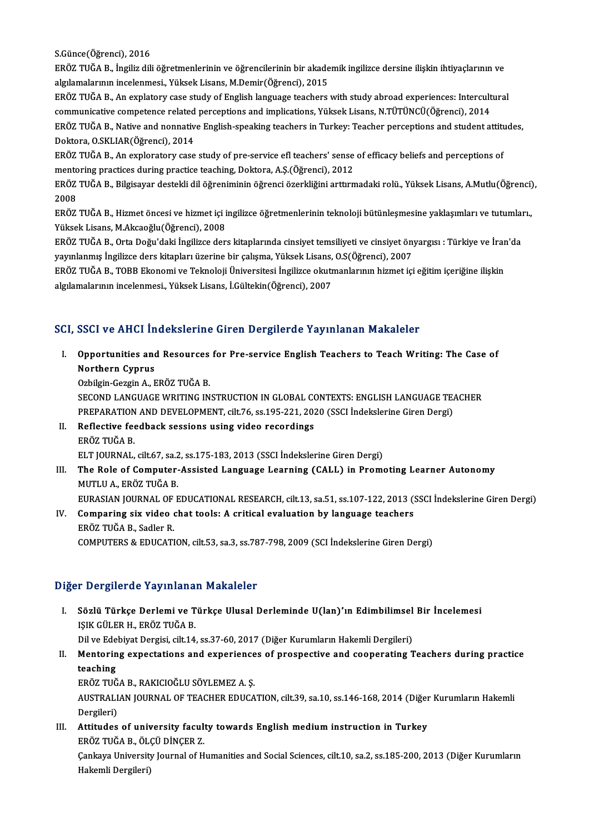S.Günce(Öğrenci),2016

S.Günce(Öğrenci), 2016<br>ERÖZ TUĞA B., İngiliz dili öğretmenlerinin ve öğrencilerinin bir akademik ingilizce dersine ilişkin ihtiyaçlarının ve<br>akulamalarının incelarmesi, Yüksek Lisare M Demir(Öğrensi), 2015 S.Günce(Öğrenci), 2016<br>ERÖZ TUĞA B., İngiliz dili öğretmenlerinin ve öğrencilerinin bir akade<br>algılamalarının incelenmesi., Yüksek Lisans, M.Demir(Öğrenci), 2015<br>ERÖZ TUĞA B. An synlatamı sase studu of English languaga tes ERÖZ TUĞA B., İngiliz dili öğretmenlerinin ve öğrencilerinin bir akademik ingilizce dersine ilişkin ihtiyaçlarının ve<br>algılamalarının incelenmesi., Yüksek Lisans, M.Demir(Öğrenci), 2015<br>ERÖZ TUĞA B., An explatory case stud

algılamalarının incelenmesi., Yüksek Lisans, M.Demir(Öğrenci), 2015<br>ERÖZ TUĞA B., An explatory case study of English language teachers with study abroad experiences: Intercultural ERÖZ TUĞA B., Native and nonnative English-speaking teachers in Turkey: Teacher perceptions and student attitudes,<br>Doktora, O.SKLIAR(Öğrenci), 2014 communicative competence related perceptions and implications, Yüksek Lisans, N.TÜTÜNCÜ(Öğrenci), 2014 ERÖZ TUĞA B., Native and nonnative English-speaking teachers in Turkey: Teacher perceptions and student attitu<br>Doktora, O.SKLIAR(Öğrenci), 2014<br>ERÖZ TUĞA B., An exploratory case study of pre-service efl teachers' sense of

Doktora, O.SKLIAR(Öğrenci), 2014<br>ERÖZ TUĞA B., An exploratory case study of pre-service efl teachers' sense<br>mentoring practices during practice teaching, Doktora, A.Ş.(Öğrenci), 2012<br>ERÖZ TUĞA B., Bilgisayar destekli dil ö ERÖZ TUĞA B., An exploratory case study of pre-service efl teachers' sense of efficacy beliefs and perceptions of<br>mentoring practices during practice teaching, Doktora, A.Ş.(Öğrenci), 2012<br>ERÖZ TUĞA B., Bilgisayar destekli

mento<br>ERÖZ<br>2008<br>EPÖZ ERÖZ TUĞA B., Bilgisayar destekli dil öğreniminin öğrenci özerkliğini arttırmadaki rolü., Yüksek Lisans, A.Mutlu(Öğrenci)<br>2008<br>ERÖZ TUĞA B., Hizmet öncesi ve hizmet içi ingilizce öğretmenlerinin teknoloji bütünleşmesine ya

2008<br>ERÖZ TUĞA B., Hizmet öncesi ve hizmet içi ingilizce öğretmenlerinin teknoloji bütünleşmesine yaklaşımları ve tutumları.,<br>Yüksek Lisans, M.Akcaoğlu(Öğrenci), 2008 ERÖZ TUĞA B., Hizmet öncesi ve hizmet içi ingilizce öğretmenlerinin teknoloji bütünleşmesine yaklaşımları ve tutumlaı<br>Yüksek Lisans, M.Akcaoğlu(Öğrenci), 2008<br>ERÖZ TUĞA B., Orta Doğu'daki İngilizce ders kitaplarında cinsiy

Yüksek Lisans, M.Akcaoğlu(Öğrenci), 2008<br>ERÖZ TUĞA B., Orta Doğu'daki İngilizce ders kitaplarında cinsiyet temsiliyeti ve cinsiyet ön<br>yayınlanmış İngilizce ders kitapları üzerine bir çalışma, Yüksek Lisans, O.S(Öğrenci), 2 ERÖZ TUĞA B., Orta Doğu'daki İngilizce ders kitaplarında cinsiyet temsiliyeti ve cinsiyet önyargısı : Türkiye ve İrar<br>yayınlanmış İngilizce ders kitapları üzerine bir çalışma, Yüksek Lisans, O.S(Öğrenci), 2007<br>ERÖZ TUĞA B.

yayınlanmış İngilizce ders kitapları üzerine bir çalışma, Yüksek Lisans, O.S(Öğrenci), 2007<br>ERÖZ TUĞA B., TOBB Ekonomi ve Teknoloji Üniversitesi İngilizce okutmanlarının hizmet içi eğitim içeriğine ilişkin<br>algılamalarının

#### SCI, SSCI ve AHCI İndekslerine Giren Dergilerde Yayınlanan Makaleler

CI, SSCI ve AHCI İndekslerine Giren Dergilerde Yayınlanan Makaleler<br>I. Opportunities and Resources for Pre-service English Teachers to Teach Writing: The Case of<br>Northern Cunnus opportunities and<br>Northern Cyprus<br>Ophilgin Coggin A - L Opportunities and Resources<br>Northern Cyprus<br>Ozbilgin-Gezgin A., ERÖZ TUĞA B.<br>SECOND LANCUACE WEITING IN Northern Cyprus<br>Ozbilgin-Gezgin A., ERÖZ TUĞA B.<br>SECOND LANGUAGE WRITING INSTRUCTION IN GLOBAL CONTEXTS: ENGLISH LANGUAGE TEACHER

PREPARATION AND DEVELOPMENT, cilt.76, ss.195-221, 2020 (SSCI İndekslerine Giren Dergi) SECOND LANGUAGE WRITING INSTRUCTION IN GLOBAL CONDERPARATION AND DEVELOPMENT, cilt.76, ss.195-221, 202<br>II. Reflective feedback sessions using video recordings

### PREPARATION<br>Reflective fee<br>ERÖZ TUĞA B.<br>ELT JOUPNAL ERÖZ TUĞA B.<br>ELT JOURNAL, cilt.67, sa.2, ss.175-183, 2013 (SSCI İndekslerine Giren Dergi)

ERÖZ TUĞA B.<br>ELT JOURNAL, cilt.67, sa.2, ss.175-183, 2013 (SSCI İndekslerine Giren Dergi)<br>III. The Role of Computer-Assisted Language Learning (CALL) in Promoting Learner Autonomy<br>MITH II A. ERÖZ TUĞA B. ELT JOURNAL, cilt.67, sa.<mark>2</mark><br>The Role of Computer-<br>MUTLU A., ERÖZ TUĞA B.<br>EURASIAN JOURNAL OF E The Role of Computer-Assisted Language Learning (CALL) in Promoting Learner Autonomy<br>MUTLU A., ERÖZ TUĞA B.<br>EURASIAN JOURNAL OF EDUCATIONAL RESEARCH, cilt.13, sa.51, ss.107-122, 2013 (SSCI İndekslerine Giren Dergi)<br>Compari

MUTLU A., ERÖZ TUĞA B.<br>EURASIAN JOURNAL OF EDUCATIONAL RESEARCH, cilt.13, sa.51, ss.107-122, 2013 (:<br>IV. Comparing six video chat tools: A critical evaluation by language teachers<br>EPÖZ TUČA B. Sodlar P. EURASIAN JOURNAL OF<br>Comparing six video<br>ERÖZ TUĞA B., Sadler R.<br>COMPUTERS & EDUCATI ERÖZ TUĞA B., Sadler R.<br>COMPUTERS & EDUCATION, cilt.53, sa.3, ss.787-798, 2009 (SCI İndekslerine Giren Dergi)

#### Diğer Dergilerde Yayınlanan Makaleler

Iğer Dergilerde Yayınlanan Makaleler<br>I. Sözlü Türkçe Derlemi ve Türkçe Ulusal Derleminde U(lan)'ın Edimbilimsel Bir İncelemesi<br>ISIK CÜLER H. ERÖZ TUĞA R 1 Dergirerus Tuymamu.<br>Sözlü Türkçe Derlemi ve T<br>IŞIK GÜLER H., ERÖZ TUĞA B.<br>Dil*ye* Edebiyat Dergisi silt 14 Sözlü Türkçe Derlemi ve Türkçe Ulusal Derleminde U(lan)'ın Edimbilimsel<br>IŞIK GÜLER H., ERÖZ TUĞA B.<br>Dil ve Edebiyat Dergisi, cilt.14, ss.37-60, 2017 (Diğer Kurumların Hakemli Dergileri)<br>Mentering expectations and experienc IŞIK GÜLER H., ERÖZ TUĞA B.<br>Dil ve Edebiyat Dergisi, cilt.14, ss.37-60, 2017 (Diğer Kurumların Hakemli Dergileri)<br>II. Mentoring expectations and experiences of prospective and cooperating Teachers during practice<br>teaching

### Dil ve Ede<br>Mentorin<br>teaching<br>EPÖZ TUČ Mentoring expectations and experience<br>teaching<br>ERÖZ TUĞA B., RAKICIOĞLU SÖYLEMEZ A. Ş.<br>AUSTRALIAN JOURNAL OF TEACHER EDUCA

teaching<br>ERÖZ TUĞA B., RAKICIOĞLU SÖYLEMEZ A. Ş.<br>AUSTRALIAN JOURNAL OF TEACHER EDUCATION, cilt.39, sa.10, ss.146-168, 2014 (Diğer Kurumların Hakemli ERÖZ TUĞ<br>AUSTRALI<br>Dergileri)<br>Attitudes AUSTRALIAN JOURNAL OF TEACHER EDUCATION, cilt.39, sa.10, ss.146-168, 2014 (Diğer<br>Dergileri)<br>III. Attitudes of university faculty towards English medium instruction in Turkey<br>FRÖZ TUČA B. ÖLCÜ DİNGER Z

Dergileri)<br>III. Attitudes of university faculty towards English medium instruction in Turkey ERÖZ TUĞA B., ÖLÇÜ DİNÇER Z.

Çankaya University Journal of Humanities and Social Sciences, cilt.10, sa.2, ss.185-200, 2013 (Diğer Kurumların<br>Hakemli Dergileri)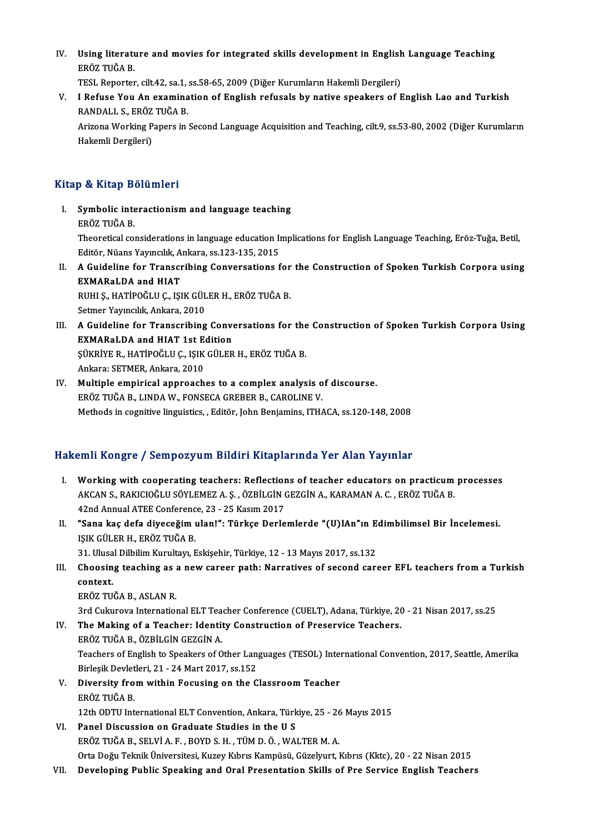IV. Using literature and movies for integrated skills development in English Language Teaching<br>FRÖZ TUČA B Using literatı<br>ERÖZ TUĞA B.<br>TESL Penerter Using literature and movies for integrated skills development in English<br>ERÖZ TUĞA B.<br>TESL Reporter, cilt.42, sa.1, ss.58-65, 2009 (Diğer Kurumların Hakemli Dergileri)<br>L.Befyae You An examination of English nefyaele by nat

ERÖZ TUĞA B.<br>TESL Reporter, cilt.42, sa.1, ss.58-65, 2009 (Diğer Kurumların Hakemli Dergileri)<br>V. I Refuse You An examination of English refusals by native speakers of English Lao and Turkish<br>RANDALL S. ERÖZ TUĞA B TESL Reporter, cilt.42, sa.1,<br>I Refuse You An examina<br>RANDALL S., ERÖZ TUĞA B.<br>Arizona Warking Baners in I Refuse You An examination of English refusals by native speakers of English Lao and Turkish<br>RANDALL S., ERÖZ TUĞA B.<br>Arizona Working Papers in Second Language Acquisition and Teaching, cilt.9, ss.53-80, 2002 (Diğer Kurum

RANDALL S., ERÖZ<br>Arizona Working P<br>Hakemli Dergileri)

# Hakemli Dergileri)<br>Kitap & Kitap Bölümleri

- Itap & Kitap Bölümleri<br>I. Symbolic interactionism and language teaching<br>FRÖZ TUČA R ERÖZ TITCEP 23<br>ERÖZ TUĞA B.<br>ERÖZ TUĞA B. Symbolic interactionism and language teaching<br>ERÖZ TUĞA B.<br>Theoretical considerations in language education Implications for English Language Teaching, Eröz-Tuğa, Betil, ERÖZ TUĞA B.<br>Theoretical considerations in language education In<br>Editör, Nüans Yayıncılık, Ankara, ss.123-135, 2015<br>A Guideline for Transeribing Conversetions f Theoretical considerations in language education Implications for English Language Teaching, Eröz-Tuğa, Betil,<br>Editör, Nüans Yayıncılık, Ankara, ss.123-135, 2015<br>II. A Guideline for Transcribing Conversations for the Const
- Editör, Nüans Yayıncılık, Ankara, ss.123-135, 2015<br>A Guideline for Transcribing Conversations<br>EXMARaLDA and HIAT A Guideline for Transcribing Conversations for<br>EXMARaLDA and HIAT<br>RUHI Ş., HATİPOĞLU Ç., IŞIK GÜLER H., ERÖZ TUĞA B.<br>Setmer Yaungılık Ankana 2010 RUHI Ş., HATİPOĞLU Ç., IŞIK GÜLER H., ERÖZ TUĞA B.<br>Setmer Yayıncılık, Ankara, 2010

- RUHI Ș., HATİPOĞLU Ç., IŞIK GÜLER H., ERÖZ TUĞA B.<br>Setmer Yayıncılık, Ankara, 2010<br>III. A Guideline for Transcribing Conversations for the Construction of Spoken Turkish Corpora Using<br>EYMARal DA and HIAT 1st Edition Setmer Yayıncılık, Ankara, 2010<br>A Guideline for Transcribing Conve<br>EXMARaLDA and HIAT 1st Edition<br>Süvpiye B. HATİPOĞLU C. ISIK CÜLEP A Guideline for Transcribing Conversations for the<br>EXMARaLDA and HIAT 1st Edition<br>ŞÜKRİYE R., HATİPOĞLU Ç., IŞIK GÜLER H., ERÖZ TUĞA B.<br>Ankara: SETMER Ankara 2010 EXMARaLDA and HIAT 1st Edition<br>ŞÜKRİYE R., HATİPOĞLU Ç., IŞIK GÜLER H., ERÖZ TUĞA B.<br>Ankara: SETMER, Ankara, 2010 SÜKRİYE R., HATİPOĞLU Ç., IŞIK GÜLER H., ERÖZ TUĞA B.<br>Ankara: SETMER, Ankara, 2010<br>IV. Multiple empirical approaches to a complex analysis of discourse.<br>EPÖZ TUĞA B. LINDA W. FONSECA CREBER B. CAROLINE V.
- Ankara: SETMER, Ankara, 2010<br>Multiple empirical approaches to a complex analysis o<br>ERÖZ TUĞA B., LINDA W., FONSECA GREBER B., CAROLINE V.<br>Methods in cognitive linguistics Editër John Benjamins JTH ( ERÖZ TUĞA B., LINDA W., FONSECA GREBER B., CAROLINE V.<br>Methods in cognitive linguistics, , Editör, John Benjamins, ITHACA, ss.120-148, 2008

#### Hakemli Kongre / Sempozyum Bildiri Kitaplarında Yer Alan Yayınlar

- akemli Kongre / Sempozyum Bildiri Kitaplarında Yer Alan Yayınlar<br>I. Working with cooperating teachers: Reflections of teacher educators on practicum processes<br>AKCAN S. BAKICIOČU U SÖVLEMEZ A S. ÖZPİLCİN CEZCİN A. KARAMAN A XIIII ROLIGIO 7 SOMPOZIYANI DRAMI RRAPATINA TETRIMI TAYINA.<br>Working with cooperating teachers: Reflections of teacher educators on practicum<br>AKCAN S., RAKICIOĞLU SÖYLEMEZ A. Ş. , ÖZBİLGİN GEZGİN A., KARAMAN A. C. , ERÖZ TU Working with cooperating teachers: Reflection<br>AKCAN S., RAKICIOĞLU SÖYLEMEZ A. Ş. , ÖZBİLGİN (<br>42nd Annual ATEE Conference, 23 - 25 Kasım 2017<br>"Sana kas dafa diyasağım ulan!": Türkse Darla AKCAN S., RAKICIOĞLU SÖYLEMEZ A. Ş. , ÖZBİLGİN GEZGİN A., KARAMAN A. C. , ERÖZ TUĞA B.<br>42nd Annual ATEE Conference, 23 - 25 Kasım 2017<br>II. "Sana kaç defa diyeceğim ulan!": Türkçe Derlemlerde "(U)lAn"ın Edimbilimsel Bir İnc
- 42nd Annual ATEE Conferenc<br>"Sana kaç defa diyeceğim ı<br>IŞIK GÜLER H., ERÖZ TUĞA B.<br>21 Hlucal Dilbilim Kurultan E "Sana kaç defa diyeceğim ulan!": Türkçe Derlemlerde "(U)lAn"ın E<br>IŞIK GÜLER H., ERÖZ TUĞA B.<br>31. Ulusal Dilbilim Kurultayı, Eskişehir, Türkiye, 12 - 13 Mayıs 2017, ss.132<br>Chaosing teashing as a now sareer nath. Narratiyes

IŞIK GÜLER H., ERÖZ TUĞA B.<br>31. Ulusal Dilbilim Kurultayı, Eskişehir, Türkiye, 12 - 13 Mayıs 2017, ss.132<br>III. Choosing teaching as a new career path: Narratives of second career EFL teachers from a Turkish<br>context 31. Ulusal Dilbilim Kurultayı, Eskişehir, Türkiye, 12 - 13 Mayıs 2017, ss.132<br>Choosing teaching as a new career path: Narratives of second car<br>context.<br>ERÖZ TUĞA B., ASLAN R. Choosing teaching as a<br>context.<br>ERÖZ TUĞA B., ASLAN R.<br><sup>2nd Culausaus</sup> Internation context.<br>ERÖZ TUĞA B., ASLAN R.<br>3rd Cukurova International ELT Teacher Conference (CUELT), Adana, Türkiye, 20 - 21 Nisan 2017, ss.25<br>The Making of a Teachery Identity Construction of Preservice Teachers.

ERÖZ TUĞA B., ASLAN R.<br>3rd Cukurova International ELT Teacher Conference (CUELT), Adana, Türkiye, 20<br>IV. The Making of a Teacher: Identity Construction of Preservice Teachers. 3rd Cukurova International ELT Tea<br>The Making of a Teacher: Identi<br>ERÖZ TUĞA B., ÖZBİLGİN GEZGİN A.<br>Teashars of English ta Spaaliars of O

The Making of a Teacher: Identity Construction of Preservice Teachers.<br>ERÖZ TUĞA B., ÖZBİLGİN GEZGİN A.<br>Teachers of English to Speakers of Other Languages (TESOL) International Convention, 2017, Seattle, Amerika<br>Pirlosik D ERÖZ TUĞA B., ÖZBİLGİN GEZGİN A.<br>Teachers of English to Speakers of Other Lang<br>Birleşik Devletleri, 21 - 24 Mart 2017, ss.152<br>Divensity from within Eqquains on the G Teachers of English to Speakers of Other Languages (TESOL) Interposity Devletleri, 21 - 24 Mart 2017, ss.152<br>V. Diversity from within Focusing on the Classroom Teacher<br>FRÖZ TUČA P.

- Birleşik Devletleri, 21 24 Mart 2017, ss.152<br>V. Diversity from within Focusing on the Classroom Teacher<br>ERÖZ TUĞA B. Diversity from within Focusing on the Classroom Teacher<br>ERÖZ TUĞA B.<br>12th ODTU International ELT Convention, Ankara, Türkiye, 25 - 26 Mayıs 2015<br>Panel Discussion on Graduate Studies in the U.S.
- VI. Panel Discussion on Graduate Studies in the U S 12th ODTU International ELT Convention, Ankara, Türkiye, 25 - 26<br>Panel Discussion on Graduate Studies in the U S<br>ERÖZ TUĞA B., SELVİ A. F. , BOYD S. H. , TÜM D. Ö. , WALTER M. A.<br>Orta Değu Telmik Üniversitesi Kurey Kıltını Panel Discussion on Graduate Studies in the U S<br>ERÖZ TUĞA B., SELVİ A. F. , BOYD S. H. , TÜM D. Ö. , WALTER M. A.<br>Orta Doğu Teknik Üniversitesi, Kuzey Kıbrıs Kampüsü, Güzelyurt, Kıbrıs (Kktc), 20 - 22 Nisan 2015<br>Daveloning ERÖZ TUĞA B., SELVİ A. F. , BOYD S. H. , TÜM D. Ö. , WALTER M. A.<br>Orta Doğu Teknik Üniversitesi, Kuzey Kıbrıs Kampüsü, Güzelyurt, Kıbrıs (Kktc), 20 - 22 Nisan 2015<br>VII. Developing Public Speaking and Oral Presentation
-